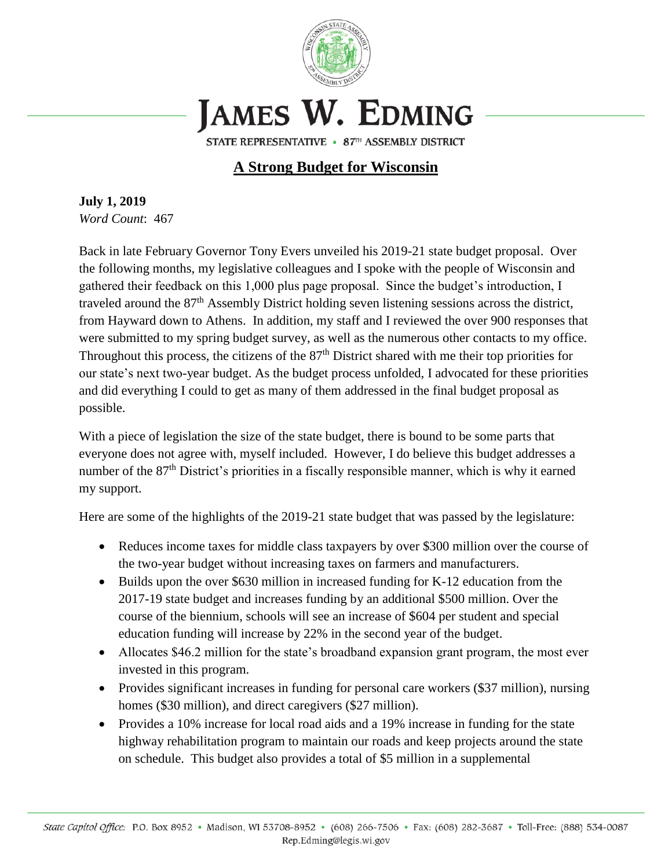

## **JAMES W. EDMING**

STATE REPRESENTATIVE • 87TH ASSEMBLY DISTRICT

## **A Strong Budget for Wisconsin**

**July 1, 2019** *Word Count*: 467

Back in late February Governor Tony Evers unveiled his 2019-21 state budget proposal. Over the following months, my legislative colleagues and I spoke with the people of Wisconsin and gathered their feedback on this 1,000 plus page proposal. Since the budget's introduction, I traveled around the 87th Assembly District holding seven listening sessions across the district, from Hayward down to Athens. In addition, my staff and I reviewed the over 900 responses that were submitted to my spring budget survey, as well as the numerous other contacts to my office. Throughout this process, the citizens of the  $87<sup>th</sup>$  District shared with me their top priorities for our state's next two-year budget. As the budget process unfolded, I advocated for these priorities and did everything I could to get as many of them addressed in the final budget proposal as possible.

With a piece of legislation the size of the state budget, there is bound to be some parts that everyone does not agree with, myself included. However, I do believe this budget addresses a number of the 87<sup>th</sup> District's priorities in a fiscally responsible manner, which is why it earned my support.

Here are some of the highlights of the 2019-21 state budget that was passed by the legislature:

- Reduces income taxes for middle class taxpayers by over \$300 million over the course of the two-year budget without increasing taxes on farmers and manufacturers.
- Builds upon the over \$630 million in increased funding for K-12 education from the 2017-19 state budget and increases funding by an additional \$500 million. Over the course of the biennium, schools will see an increase of \$604 per student and special education funding will increase by 22% in the second year of the budget.
- Allocates \$46.2 million for the state's broadband expansion grant program, the most ever invested in this program.
- Provides significant increases in funding for personal care workers (\$37 million), nursing homes (\$30 million), and direct caregivers (\$27 million).
- Provides a 10% increase for local road aids and a 19% increase in funding for the state highway rehabilitation program to maintain our roads and keep projects around the state on schedule. This budget also provides a total of \$5 million in a supplemental